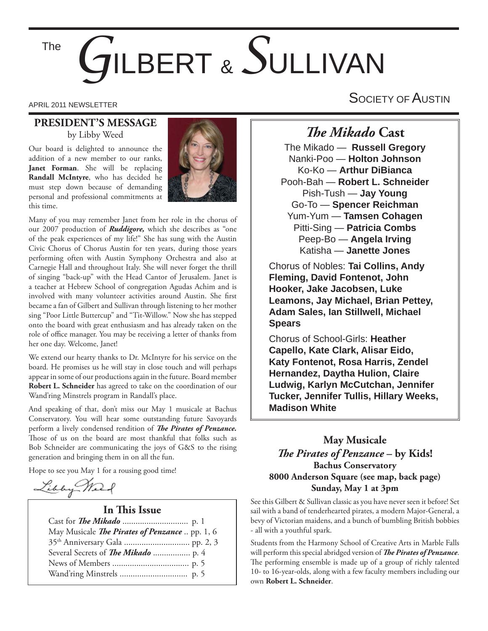## *G*ILBERT & *S*ULLIVAN The

#### **PRESIDENT'S MESSAGE** by Libby Weed

Our board is delighted to announce the addition of a new member to our ranks, **Janet Forman**. She will be replacing **Randall McIntyre**, who has decided he must step down because of demanding personal and professional commitments at this time.



Many of you may remember Janet from her role in the chorus of our 2007 production of *Ruddigore,* which she describes as "one of the peak experiences of my life!" She has sung with the Austin Civic Chorus of Chorus Austin for ten years, during those years performing often with Austin Symphony Orchestra and also at Carnegie Hall and throughout Italy. She will never forget the thrill of singing "back-up" with the Head Cantor of Jerusalem. Janet is a teacher at Hebrew School of congregation Agudas Achim and is involved with many volunteer activities around Austin. She first became a fan of Gilbert and Sullivan through listening to her mother sing "Poor Little Buttercup" and "Tit-Willow." Now she has stepped onto the board with great enthusiasm and has already taken on the role of office manager. You may be receiving a letter of thanks from her one day. Welcome, Janet!

We extend our hearty thanks to Dr. McIntyre for his service on the board. He promises us he will stay in close touch and will perhaps appear in some of our productions again in the future. Board member **Robert L. Schneider** has agreed to take on the coordination of our Wand'ring Minstrels program in Randall's place.

And speaking of that, don't miss our May 1 musicale at Bachus Conservatory. You will hear some outstanding future Savoyards perform a lively condensed rendition of *The Pirates of Penzance*. Those of us on the board are most thankful that folks such as Bob Schneider are communicating the joys of G&S to the rising generation and bringing them in on all the fun.

Hope to see you May 1 for a rousing good time!

Libby Mart

#### **In This Issue**

| May Musicale The Pirates of Penzance  pp. 1, 6 |
|------------------------------------------------|
|                                                |
|                                                |
|                                                |
|                                                |

APRIL 2011 NEWSLETTER AND RESERVE THE SOCIETY OF AUSTIN

### *The Mikado* Cast

The Mikado — **Russell Gregory** Nanki-Poo — **Holton Johnson** Ko-Ko — **Arthur DiBianca** Pooh-Bah — **Robert L. Schneider** Pish-Tush — **Jay Young** Go-To — **Spencer Reichman** Yum-Yum — **Tamsen Cohagen** Pitti-Sing — **Patricia Combs** Peep-Bo — **Angela Irving** Katisha — **Janette Jones**

Chorus of Nobles: **Tai Collins, Andy Fleming, David Fontenot, John Hooker, Jake Jacobsen, Luke Leamons, Jay Michael, Brian Pettey, Adam Sales, Ian Stillwell, Michael Spears** 

Chorus of School-Girls: **Heather Capello, Kate Clark, Alisar Eido, Katy Fontenot, Rosa Harris, Zendel Hernandez, Daytha Hulion, Claire Ludwig, Karlyn McCutchan, Jennifer Tucker, Jennifer Tullis, Hillary Weeks, Madison White**

#### **May Musicale** *The Pirates of Penzance* – by Kids! **Bachus Conservatory 8000 Anderson Square (see map, back page) Sunday, May 1 at 3pm**

See this Gilbert & Sullivan classic as you have never seen it before! Set sail with a band of tenderhearted pirates, a modern Major-General, a bevy of Victorian maidens, and a bunch of bumbling British bobbies - all with a youthful spark.

Students from the Harmony School of Creative Arts in Marble Falls will perform this special abridged version of *The Pirates of Penzance*. The performing ensemble is made up of a group of richly talented 10- to 16-year-olds, along with a few faculty members including our own **Robert L. Schneider**.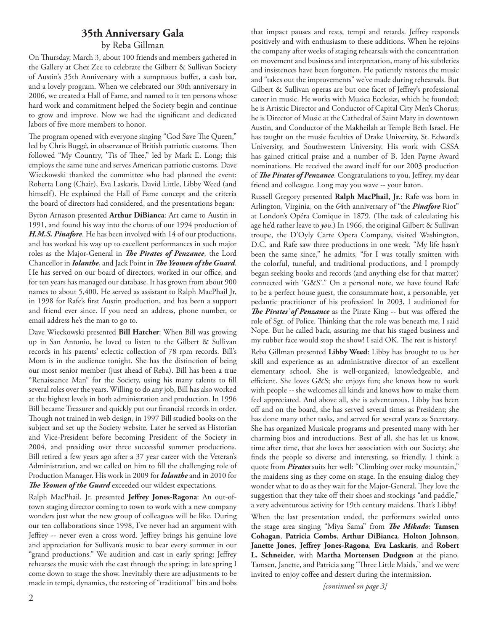#### **35th Anniversary Gala**

#### by Reba Gillman

On Thursday, March 3, about 100 friends and members gathered in the Gallery at Chez Zee to celebrate the Gilbert & Sullivan Society of Austin's 35th Anniversary with a sumptuous buffet, a cash bar, and a lovely program. When we celebrated our 30th anniversary in 2006, we created a Hall of Fame, and named to it ten persons whose hard work and commitment helped the Society begin and continue to grow and improve. Now we had the significant and dedicated labors of five more members to honor.

The program opened with everyone singing "God Save The Queen," led by Chris Buggé, in observance of British patriotic customs. Then followed "My Country, 'Tis of Thee," led by Mark E. Long; this employs the same tune and serves American patriotic customs. Dave Wieckowski thanked the committee who had planned the event: Roberta Long (Chair), Eva Laskaris, David Little, Libby Weed (and himself). He explained the Hall of Fame concept and the criteria the board of directors had considered, and the presentations began:

Byron Arnason presented **Arthur DiBianca**: Art came to Austin in 1991, and found his way into the chorus of our 1994 production of *H.M.S. Pinafore*. He has been involved with 14 of our productions, and has worked his way up to excellent performances in such major roles as the Major-General in *The Pirates of Penzance*, the Lord Chancellor in *Iolanthe*, and Jack Point in *The Yeomen of the Guard*. He has served on our board of directors, worked in our office, and for ten years has managed our database. It has grown from about 900 names to about 5,400. He served as assistant to Ralph MacPhail Jr, in 1998 for Rafe's first Austin production, and has been a support and friend ever since. If you need an address, phone number, or email address he's the man to go to.

Dave Wieckowski presented **Bill Hatcher**: When Bill was growing up in San Antonio, he loved to listen to the Gilbert & Sullivan records in his parents' eclectic collection of 78 rpm records. Bill's Mom is in the audience tonight. She has the distinction of being our most senior member (just ahead of Reba). Bill has been a true "Renaissance Man" for the Society, using his many talents to fill several roles over the years. Willing to do any job, Bill has also worked at the highest levels in both administration and production. In 1996 Bill became Treasurer and quickly put our financial records in order. Though not trained in web design, in 1997 Bill studied books on the subject and set up the Society website. Later he served as Historian and Vice-President before becoming President of the Society in 2004, and presiding over three successful summer productions. Bill retired a few years ago after a 37 year career with the Veteran's Administration, and we called on him to fill the challenging role of Production Manager. His work in 2009 for *Iolanthe* and in 2010 for The Yeomen of the Guard exceeded our wildest expectations.

Ralph MacPhail, Jr. presented Jeffrey Jones-Ragona: An out-oftown staging director coming to town to work with a new company wonders just what the new group of colleagues will be like. During our ten collaborations since 1998, I've never had an argument with Jeffrey -- never even a cross word. Jeffrey brings his genuine love and appreciation for Sullivan's music to bear every summer in our "grand productions." We audition and cast in early spring; Jeffrey rehearses the music with the cast through the spring; in late spring I come down to stage the show. Inevitably there are adjustments to be made in tempi, dynamics, the restoring of "traditional" bits and bobs

that impact pauses and rests, tempi and retards. Jeffrey responds positively and with enthusiasm to these additions. When he rejoins the company after weeks of staging rehearsals with the concentration on movement and business and interpretation, many of his subtleties and insistences have been forgotten. He patiently restores the music and "takes out the improvements" we've made during rehearsals. But Gilbert & Sullivan operas are but one facet of Jeffrey's professional career in music. He works with Musica Ecclesiæ, which he founded; he is Artistic Director and Conductor of Capital City Men's Chorus; he is Director of Music at the Cathedral of Saint Mary in downtown Austin, and Conductor of the Makheilah at Temple Beth Israel. He has taught on the music faculties of Drake University, St. Edward's University, and Southwestern University. His work with GSSA has gained critical praise and a number of B. Iden Payne Award nominations. He received the award itself for our 2003 production of *The Pirates of Penzance*. Congratulations to you, Jeffrey, my dear friend and colleague. Long may you wave -- your baton.

Russell Gregory presented **Ralph MacPhail, Jr.**: Rafe was born in Arlington, Virginia, on the 64th anniversary of "the *Pinafore* Riot" at London's Opéra Comique in 1879. (The task of calculating his age he'd rather leave to *you*.) In 1966, the original Gilbert & Sullivan troupe, the D'Oyly Carte Opera Company, visited Washington, D.C. and Rafe saw three productions in one week. "My life hasn't been the same since," he admits, "for I was totally smitten with the colorful, tuneful, and traditional productions, and I promptly began seeking books and records (and anything else for that matter) connected with 'G&S'." On a personal note, we have found Rafe to be a perfect house guest, the consummate host, a personable, yet pedantic practitioner of his profession! In 2003, I auditioned for **The Pirates' of Penzance** as the Pirate King -- but was offered the role of Sgt. of Police. Thinking that the role was beneath me, I said Nope. But he called back, assuring me that his staged business and my rubber face would stop the show! I said OK. The rest is history!

Reba Gillman presented **Libby Weed**: Libby has brought to us her skill and experience as an administrative director of an excellent elementary school. She is well-organized, knowledgeable, and efficient. She loves G&S; she enjoys fun; she knows how to work with people -- she welcomes all kinds and knows how to make them feel appreciated. And above all, she is adventurous. Libby has been off and on the board, she has served several times as President; she has done many other tasks, and served for several years as Secretary. She has organized Musicale programs and presented many with her charming bios and introductions. Best of all, she has let us know, time after time, that she loves her association with our Society; she finds the people so diverse and interesting, so friendly. I think a quote from *Pirates* suits her well: "Climbing over rocky mountain," the maidens sing as they come on stage. In the ensuing dialog they wonder what to do as they wait for the Major-General. They love the suggestion that they take off their shoes and stockings "and paddle," a very adventurous activity for 19th century maidens. That's Libby!

When the last presentation ended, the performers swirled onto the stage area singing "Miya Sama" from *The Mikado*: Tamsen **Cohagan**, **Patricia Combs**, **Arthur DiBianca**, **Holton Johnson**, Janette Jones, Jeffrey Jones-Ragona, Eva Laskaris, and Robert **L. Schneider**, with **Martha Mortensen Dudgeon** at the piano. Tamsen, Janette, and Patricia sang "Three Little Maids," and we were invited to enjoy coffee and dessert during the intermission.

*[continued on page 3]*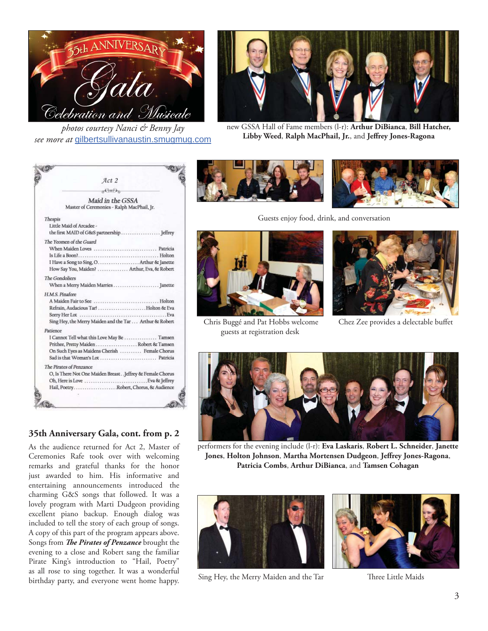

*photos courtesy Nanci & Benny Jay see more at* gilbertsullivanaustin.smugmug.com



new GSSA Hall of Fame members (l-r): **Arthur DiBianca**, **Bill Hatcher,** Libby Weed, Ralph MacPhail, Jr., and Jeffrey Jones-Ragona

|                        | Act 2                                                                                                                                                                        |  |
|------------------------|------------------------------------------------------------------------------------------------------------------------------------------------------------------------------|--|
|                        | $e^{Q_T/\hbar}$                                                                                                                                                              |  |
|                        | Maid in the GSSA<br>Master of Ceremonies - Ralph MacPhail, Jr.                                                                                                               |  |
| Thespis                | Little Maid of Arcadee -                                                                                                                                                     |  |
|                        | The Yeomen of the Guard<br>I Have a Song to Sing, O.  Arthur & Janette<br>How Say You, Maiden? Arthur, Eva, & Robert                                                         |  |
| <b>The Gondoliers</b>  | When a Merry Maiden Marries  Janette                                                                                                                                         |  |
| <b>H.M.S. Pinafore</b> | Sing Hey, the Merry Maiden and the Tar  Arthur & Robert                                                                                                                      |  |
| Patience               | I Cannot Tell what this Love May Be  Tamsen<br>Prithee, Pretty Maiden Robert & Tamsen<br>On Such Eyes as Maidens Cherish  Female Chorus<br>Sad is that Woman's Lot  Patricia |  |
|                        | The Pirates of Penzance<br>O, Is There Not One Maiden Breast Jeffrey & Female Chorus<br>Eva & Jeffrey<br>Oh, Here is Love<br>Hail, PoetryRobert, Chorus, & Audience          |  |
|                        |                                                                                                                                                                              |  |

#### **35th Anniversary Gala, cont. from p. 2**

As the audience returned for Act 2, Master of Ceremonies Rafe took over with welcoming remarks and grateful thanks for the honor just awarded to him. His informative and entertaining announcements introduced the charming G&S songs that followed. It was a lovely program with Marti Dudgeon providing excellent piano backup. Enough dialog was included to tell the story of each group of songs. A copy of this part of the program appears above. Songs from *The Pirates of Penzance* brought the evening to a close and Robert sang the familiar Pirate King's introduction to "Hail, Poetry" as all rose to sing together. It was a wonderful birthday party, and everyone went home happy.





Guests enjoy food, drink, and conversation



 Chris Buggé and Pat Hobbs welcome guests at registration desk



Chez Zee provides a delectable buffet



performers for the evening include (l-r): **Eva Laskaris**, **Robert L. Schneider**, **Janette**  Jones, Holton Johnson, Martha Mortensen Dudgeon, Jeffrey Jones-Ragona, **Patricia Combs**, **Arthur DiBianca**, and **Tamsen Cohagan**



Sing Hey, the Merry Maiden and the Tar Three Little Maids

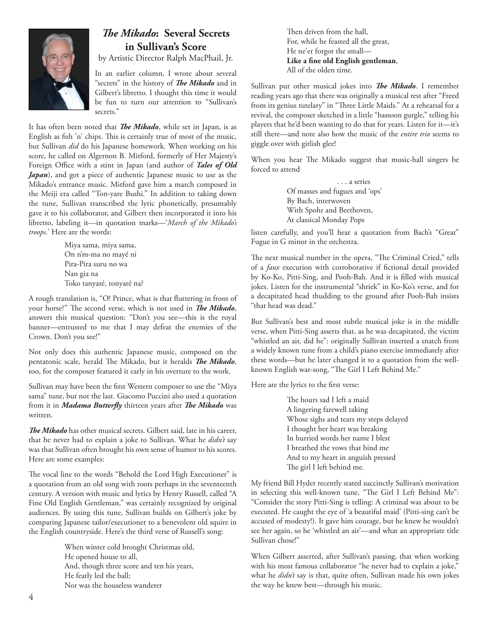

#### *The Mikado*: Several Secrets **in Sullivan's Score**

by Artistic Director Ralph MacPhail, Jr.

In an earlier column, I wrote about several "secrets" in the history of *The Mikado* and in Gilbert's libretto. I thought this time it would be fun to turn our attention to "Sullivan's secrets."

It has often been noted that *The Mikado*, while set in Japan, is as English as fish 'n' chips. This is certainly true of most of the music, but Sullivan *did* do his Japanese homework. When working on his score, he called on Algernon B. Mitford, formerly of Her Majesty's Foreign Office with a stint in Japan (and author of *Tales of Old Japan*), and got a piece of authentic Japanese music to use as the Mikado's entrance music. Mitford gave him a march composed in the Meiji era called "Ton-yare Bushi." In addition to taking down the tune, Sullivan transcribed the lyric phonetically, presumably gave it to his collaborator, and Gilbert then incorporated it into his libretto, labeling it—in quotation marks—'*March of the Mikado's troops*.' Here are the words:

> Miya sama, miya sama, On n'm-ma no mayé ni Pira-Pira suru no wa Nan gia na Toko tanyaré, tonyaré na?

A rough translation is, "O! Prince, what is that fluttering in front of your horse?" The second verse, which is not used in *The Mikado*, answers this musical question: "Don't you see—this is the royal banner—entrusted to me that I may defeat the enemies of the Crown. Don't you see!"

Not only does this authentic Japanese music, composed on the pentatonic scale, herald The Mikado, but it heralds *The Mikado*, too, for the composer featured it early in his overture to the work.

Sullivan may have been the first Western composer to use the "Miya sama" tune, but not the last. Giacomo Puccini also used a quotation from it in *Madama Butterfly* thirteen years after *The Mikado* was written.

The Mikado has other musical secrets. Gilbert said, late in his career, that he never had to explain a joke to Sullivan. What he *didn't* say was that Sullivan often brought his own sense of humor to his scores. Here are some examples:

The vocal line to the words "Behold the Lord High Executioner" is a quotation from an old song with roots perhaps in the seventeenth century. A version with music and lyrics by Henry Russell, called "A Fine Old English Gentleman," was certainly recognized by original audiences. By using this tune, Sullivan builds on Gilbert's joke by comparing Japanese tailor/executioner to a benevolent old squire in the English countryside. Here's the third verse of Russell's song:

> When winter cold brought Christmas old, He opened house to all, And, though three score and ten his years, He featly led the ball; Nor was the houseless wanderer

Then driven from the hall, For, while he feasted all the great, He ne'er forgot the small— Like a fine old English gentleman, All of the olden time.

Sullivan put other musical jokes into *The Mikado*. I remember reading years ago that there was originally a musical rest after "Freed from its genius tutelary" in "Three Little Maids." At a rehearsal for a revival, the composer sketched in a little "bassoon gurgle," telling his players that he'd been wanting to do that for years. Listen for it—it's still there—and note also how the music of the *entire trio* seems to giggle over with girlish glee!

When you hear The Mikado suggest that music-hall singers be forced to attend

> . . . a series Of masses and fugues and 'ops' By Bach, interwoven With Spohr and Beethoven, At classical Monday Pops

listen carefully, and you'll hear a quotation from Bach's "Great" Fugue in G minor in the orchestra.

The next musical number in the opera, "The Criminal Cried," tells of a *faux* execution with corroborative if fictional detail provided by Ko-Ko, Pitti-Sing, and Pooh-Bah. And it is filled with musical jokes. Listen for the instrumental "shriek" in Ko-Ko's verse, and for a decapitated head thudding to the ground after Pooh-Bah insists "that head was dead."

But Sullivan's best and most subtle musical joke is in the middle verse, when Pitti-Sing asserts that, as he was decapitated, the victim "whistled an air, did he": originally Sullivan inserted a snatch from a widely known tune from a child's piano exercise immediately after these words—but he later changed it to a quotation from the wellknown English war-song, "The Girl I Left Behind Me."

Here are the lyrics to the first verse:

The hours sad I left a maid A lingering farewell taking Whose sighs and tears my steps delayed I thought her heart was breaking In hurried words her name I blest I breathed the vows that bind me And to my heart in anguish pressed The girl I left behind me.

My friend Bill Hyder recently stated succinctly Sullivan's motivation in selecting this well-known tune, "The Girl I Left Behind Me": "Consider the story Pitti-Sing is telling: A criminal was about to be executed. He caught the eye of 'a beautiful maid' (Pitti-sing can't be accused of modesty!). It gave him courage, but he knew he wouldn't see her again, so he 'whistled an air'—and what an appropriate title Sullivan chose!"

When Gilbert asserted, after Sullivan's passing, that when working with his most famous collaborator "he never had to explain a joke," what he *didn't* say is that, quite often, Sullivan made his own jokes the way he knew best—through his music.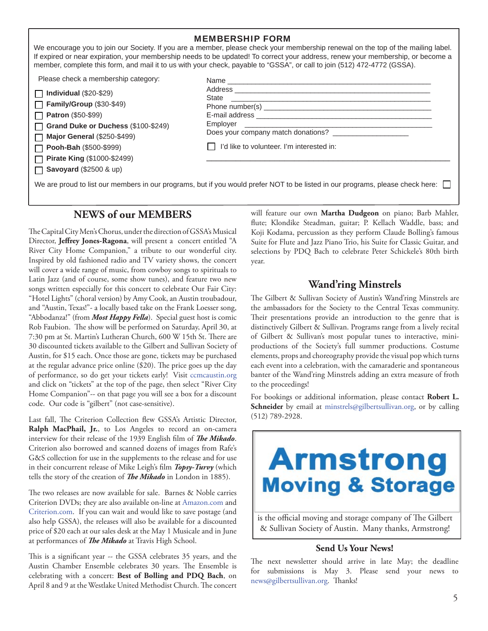|                                                                                                                                                                                                                                                                                     | <b>MEMBERSHIP FORM</b><br>We encourage you to join our Society. If you are a member, please check your membership renewal on the top of the mailing label.<br>If expired or near expiration, your membership needs to be updated! To correct your address, renew your membership, or become a<br>member, complete this form, and mail it to us with your check, payable to "GSSA", or call to join (512) 472-4772 (GSSA). |  |  |  |
|-------------------------------------------------------------------------------------------------------------------------------------------------------------------------------------------------------------------------------------------------------------------------------------|---------------------------------------------------------------------------------------------------------------------------------------------------------------------------------------------------------------------------------------------------------------------------------------------------------------------------------------------------------------------------------------------------------------------------|--|--|--|
| Please check a membership category:<br>Individual $(\$20-\$29)$<br><b>Family/Group (\$30-\$49)</b><br>$\Box$ Patron (\$50-\$99)<br>Grand Duke or Duchess (\$100-\$249)<br><b>Major General (\$250-\$499)</b><br>$\Box$ Pooh-Bah (\$500-\$999)<br><b>Pirate King (\$1000-\$2499)</b> | Name<br>Employer and the contract of the contract of the contract of the contract of the contract of the contract of the contract of the contract of the contract of the contract of the contract of the contract of the contract of t<br>Does your company match donations?<br>I'd like to volunteer. I'm interested in:                                                                                                 |  |  |  |
| $\Box$ Savoyard (\$2500 & up)<br>We are proud to list our members in our programs, but if you would prefer NOT to be listed in our programs, please check here:                                                                                                                     |                                                                                                                                                                                                                                                                                                                                                                                                                           |  |  |  |

#### **NEWS of our MEMBERS**

The Capital City Men's Chorus, under the direction of GSSA's Musical Director, Jeffrey Jones-Ragona, will present a concert entitled "A River City Home Companion," a tribute to our wonderful city. Inspired by old fashioned radio and TV variety shows, the concert will cover a wide range of music, from cowboy songs to spirituals to Latin Jazz (and of course, some show tunes), and feature two new songs written especially for this concert to celebrate Our Fair City: "Hotel Lights" (choral version) by Amy Cook, an Austin troubadour, and "Austin, Texas!"- a locally based take on the Frank Loesser song, "Abbodanza!" (from *Most Happy Fella*). Special guest host is comic Rob Faubion. The show will be performed on Saturday, April 30, at 7:30 pm at St. Martin's Lutheran Church, 600 W 15th St. There are 30 discounted tickets available to the Gilbert and Sullivan Society of Austin, for \$15 each. Once those are gone, tickets may be purchased at the regular advance price online  $(\$20)$ . The price goes up the day of performance, so do get your tickets early! Visit ccmcaustin.org and click on "tickets" at the top of the page, then select "River City Home Companion"-- on that page you will see a box for a discount code. Our code is "gilbert" (not case-sensitive).

Last fall, The Criterion Collection flew GSSA's Artistic Director, **Ralph MacPhail, Jr.**, to Los Angeles to record an on-camera interview for their release of the 1939 English film of *The Mikado*. Criterion also borrowed and scanned dozens of images from Rafe's G&S collection for use in the supplements to the release and for use in their concurrent release of Mike Leigh's film *Topsy-Turvy* (which tells the story of the creation of *The Mikado* in London in 1885).

The two releases are now available for sale. Barnes & Noble carries Criterion DVDs; they are also available on-line at Amazon.com and Criterion.com. If you can wait and would like to save postage (and also help GSSA), the releases will also be available for a discounted price of \$20 each at our sales desk at the May 1 Musicale and in June at performances of *The Mikado* at Travis High School.

This is a significant year -- the GSSA celebrates 35 years, and the Austin Chamber Ensemble celebrates 30 years. The Ensemble is celebrating with a concert: **Best of Bolling and PDQ Bach**, on April 8 and 9 at the Westlake United Methodist Church. The concert will feature our own **Martha Dudgeon** on piano; Barb Mahler, flute; Klondike Steadman, guitar; P. Kellach Waddle, bass; and Koji Kodama, percussion as they perform Claude Bolling's famous Suite for Flute and Jazz Piano Trio, his Suite for Classic Guitar, and selections by PDQ Bach to celebrate Peter Schickele's 80th birth year.

#### **Wand'ring Minstrels**

The Gilbert & Sullivan Society of Austin's Wand'ring Minstrels are the ambassadors for the Society to the Central Texas community. Their presentations provide an introduction to the genre that is distinctively Gilbert & Sullivan. Programs range from a lively recital of Gilbert & Sullivan's most popular tunes to interactive, miniproductions of the Society's full summer productions. Costume elements, props and choreography provide the visual pop which turns each event into a celebration, with the camaraderie and spontaneous banter of the Wand'ring Minstrels adding an extra measure of froth to the proceedings!

For bookings or additional information, please contact **Robert L. Schneider** by email at minstrels@gilbertsullivan.org, or by calling (512) 789-2928.

# **Armstrong Moving & Storage**

is the official moving and storage company of The Gilbert & Sullivan Society of Austin. Many thanks, Armstrong!

#### **Send Us Your News!**

The next newsletter should arrive in late May; the deadline for submissions is May 3. Please send your news to news@gilbertsullivan.org. Thanks!